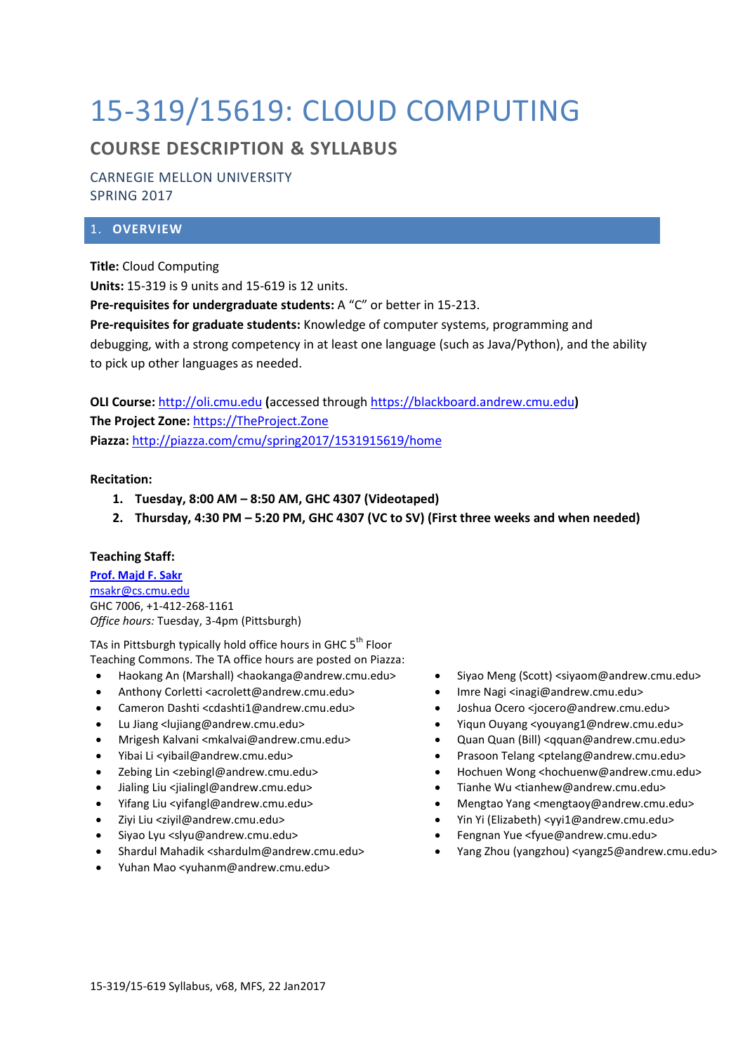# 15-319/15619: CLOUD COMPUTING

# **COURSE DESCRIPTION & SYLLABUS**

CARNEGIE MELLON UNIVERSITY SPRING 2017

# 1. **OVERVIEW**

**Title:** Cloud Computing

**Units:** 15-319 is 9 units and 15-619 is 12 units.

**Pre-requisites for undergraduate students:** A "C" or better in 15-213.

**Pre-requisites for graduate students:** Knowledge of computer systems, programming and debugging, with a strong competency in at least one language (such as Java/Python), and the ability to pick up other languages as needed.

**OLI Course:** [http://oli.cmu.edu](http://oli.cmu.edu/) **(**accessed through [https://blackboard.andrew.cmu.edu](https://blackboard.andrew.cmu.edu/)**) The Project Zone:** [https://TheProject.Zone](https://theproject.zone/) **Piazza:** <http://piazza.com/cmu/spring2017/1531915619/home>

# **Recitation:**

- **1. Tuesday, 8:00 AM – 8:50 AM, GHC 4307 (Videotaped)**
- **2. Thursday, 4:30 PM – 5:20 PM, GHC 4307 (VC to SV) (First three weeks and when needed)**

# **Teaching Staff:**

**[Prof. Majd F. Sakr](http://www.cs.cmu.edu/~msakr)** [msakr@cs.cmu.edu](mailto:msakr@cs.cmu.edu) GHC 7006, +1-412-268-1161 *Office hours:* Tuesday, 3-4pm (Pittsburgh)

TAs in Pittsburgh typically hold office hours in GHC 5<sup>th</sup> Floor Teaching Commons. The TA office hours are posted on Piazza:

- Haokang An (Marshall) <haokanga@andrew.cmu.edu>
- Anthony Corletti <acrolett@andrew.cmu.edu>
- Cameron Dashti <cdashti1@andrew.cmu.edu>
- Lu Jiang <lujiang@andrew.cmu.edu>
- Mrigesh Kalvani <mkalvai@andrew.cmu.edu>
- Yibai Li <yibail@andrew.cmu.edu>
- Zebing Lin <zebingl@andrew.cmu.edu>
- Jialing Liu <jialingl@andrew.cmu.edu>
- Yifang Liu <yifangl@andrew.cmu.edu>
- Ziyi Liu <ziyil@andrew.cmu.edu>
- Siyao Lyu <slyu@andrew.cmu.edu>
- Shardul Mahadik <shardulm@andrew.cmu.edu>
- Yuhan Mao <yuhanm@andrew.cmu.edu>
- Siyao Meng (Scott) <siyaom@andrew.cmu.edu>
- Imre Nagi <inagi@andrew.cmu.edu>
- Joshua Ocero <jocero@andrew.cmu.edu>
- Yiqun Ouyang <youyang1@ndrew.cmu.edu>
- Quan Quan (Bill) <qquan@andrew.cmu.edu>
- Prasoon Telang <ptelang@andrew.cmu.edu>
- Hochuen Wong <hochuenw@andrew.cmu.edu>
- Tianhe Wu <tianhew@andrew.cmu.edu>
- Mengtao Yang <mengtaoy@andrew.cmu.edu>
- Yin Yi (Elizabeth) <yyi1@andrew.cmu.edu>
- Fengnan Yue <fyue@andrew.cmu.edu>
- Yang Zhou (yangzhou) <yangz5@andrew.cmu.edu>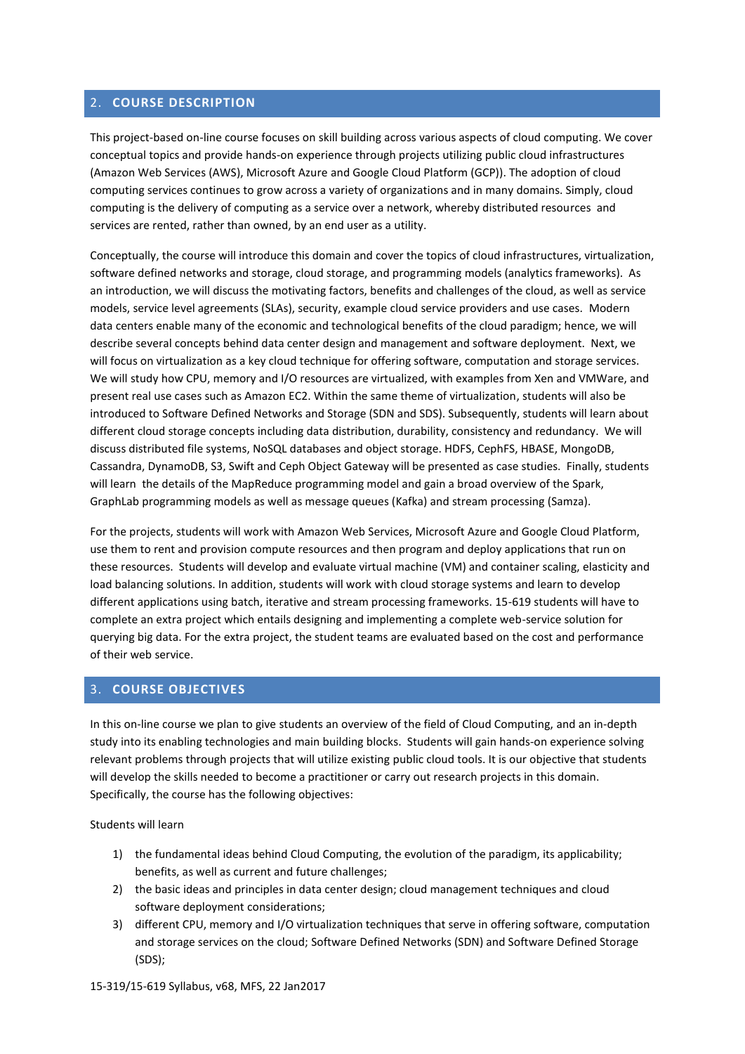# 2. **COURSE DESCRIPTION**

This project-based on-line course focuses on skill building across various aspects of cloud computing. We cover conceptual topics and provide hands-on experience through projects utilizing public cloud infrastructures (Amazon Web Services (AWS), Microsoft Azure and Google Cloud Platform (GCP)). The adoption of cloud computing services continues to grow across a variety of organizations and in many domains. Simply, cloud computing is the delivery of computing as a service over a network, whereby distributed resources and services are rented, rather than owned, by an end user as a utility.

Conceptually, the course will introduce this domain and cover the topics of cloud infrastructures, virtualization, software defined networks and storage, cloud storage, and programming models (analytics frameworks). As an introduction, we will discuss the motivating factors, benefits and challenges of the cloud, as well as service models, service level agreements (SLAs), security, example cloud service providers and use cases. Modern data centers enable many of the economic and technological benefits of the cloud paradigm; hence, we will describe several concepts behind data center design and management and software deployment. Next, we will focus on virtualization as a key cloud technique for offering software, computation and storage services. We will study how CPU, memory and I/O resources are virtualized, with examples from Xen and VMWare, and present real use cases such as Amazon EC2. Within the same theme of virtualization, students will also be introduced to Software Defined Networks and Storage (SDN and SDS). Subsequently, students will learn about different cloud storage concepts including data distribution, durability, consistency and redundancy. We will discuss distributed file systems, NoSQL databases and object storage. HDFS, CephFS, HBASE, MongoDB, Cassandra, DynamoDB, S3, Swift and Ceph Object Gateway will be presented as case studies. Finally, students will learn the details of the MapReduce programming model and gain a broad overview of the Spark, GraphLab programming models as well as message queues (Kafka) and stream processing (Samza).

For the projects, students will work with Amazon Web Services, Microsoft Azure and Google Cloud Platform, use them to rent and provision compute resources and then program and deploy applications that run on these resources. Students will develop and evaluate virtual machine (VM) and container scaling, elasticity and load balancing solutions. In addition, students will work with cloud storage systems and learn to develop different applications using batch, iterative and stream processing frameworks. 15-619 students will have to complete an extra project which entails designing and implementing a complete web-service solution for querying big data. For the extra project, the student teams are evaluated based on the cost and performance of their web service.

# 3. **COURSE OBJECTIVES**

In this on-line course we plan to give students an overview of the field of Cloud Computing, and an in-depth study into its enabling technologies and main building blocks. Students will gain hands-on experience solving relevant problems through projects that will utilize existing public cloud tools. It is our objective that students will develop the skills needed to become a practitioner or carry out research projects in this domain. Specifically, the course has the following objectives:

Students will learn

- 1) the fundamental ideas behind Cloud Computing, the evolution of the paradigm, its applicability; benefits, as well as current and future challenges;
- 2) the basic ideas and principles in data center design; cloud management techniques and cloud software deployment considerations;
- 3) different CPU, memory and I/O virtualization techniques that serve in offering software, computation and storage services on the cloud; Software Defined Networks (SDN) and Software Defined Storage (SDS);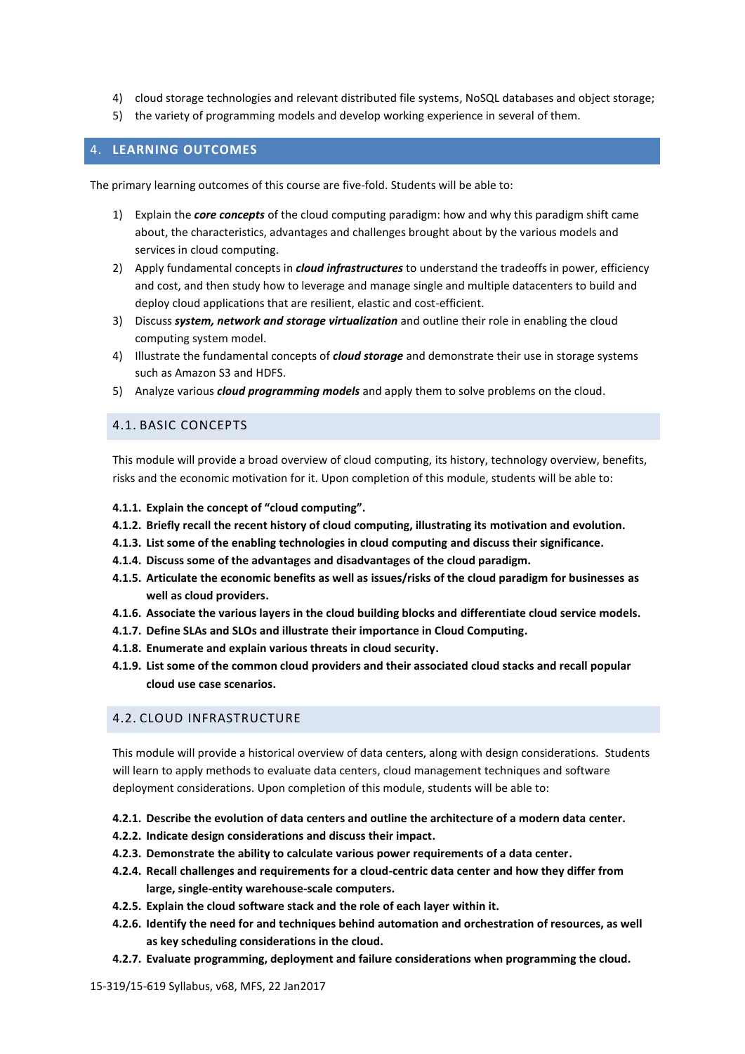- 4) cloud storage technologies and relevant distributed file systems, NoSQL databases and object storage;
- 5) the variety of programming models and develop working experience in several of them.

#### 4. **LEARNING OUTCOMES**

The primary learning outcomes of this course are five-fold. Students will be able to:

- 1) Explain the *core concepts* of the cloud computing paradigm: how and why this paradigm shift came about, the characteristics, advantages and challenges brought about by the various models and services in cloud computing.
- 2) Apply fundamental concepts in *cloud infrastructures* to understand the tradeoffs in power, efficiency and cost, and then study how to leverage and manage single and multiple datacenters to build and deploy cloud applications that are resilient, elastic and cost-efficient.
- 3) Discuss *system, network and storage virtualization* and outline their role in enabling the cloud computing system model.
- 4) Illustrate the fundamental concepts of *cloud storage* and demonstrate their use in storage systems such as Amazon S3 and HDFS.
- 5) Analyze various *cloud programming models* and apply them to solve problems on the cloud.

#### 4.1. BASIC CONCEPTS

This module will provide a broad overview of cloud computing, its history, technology overview, benefits, risks and the economic motivation for it. Upon completion of this module, students will be able to:

- **4.1.1. Explain the concept of "cloud computing".**
- **4.1.2. Briefly recall the recent history of cloud computing, illustrating its motivation and evolution.**
- **4.1.3. List some of the enabling technologies in cloud computing and discuss their significance.**
- **4.1.4. Discuss some of the advantages and disadvantages of the cloud paradigm.**
- **4.1.5. Articulate the economic benefits as well as issues/risks of the cloud paradigm for businesses as well as cloud providers.**
- **4.1.6. Associate the various layers in the cloud building blocks and differentiate cloud service models.**
- **4.1.7. Define SLAs and SLOs and illustrate their importance in Cloud Computing.**
- **4.1.8. Enumerate and explain various threats in cloud security.**
- **4.1.9. List some of the common cloud providers and their associated cloud stacks and recall popular cloud use case scenarios.**

# 4.2. CLOUD INFRASTRUCTURE

This module will provide a historical overview of data centers, along with design considerations. Students will learn to apply methods to evaluate data centers, cloud management techniques and software deployment considerations. Upon completion of this module, students will be able to:

- **4.2.1. Describe the evolution of data centers and outline the architecture of a modern data center.**
- **4.2.2. Indicate design considerations and discuss their impact.**
- **4.2.3. Demonstrate the ability to calculate various power requirements of a data center.**
- **4.2.4. Recall challenges and requirements for a cloud-centric data center and how they differ from large, single-entity warehouse-scale computers.**
- **4.2.5. Explain the cloud software stack and the role of each layer within it.**
- **4.2.6. Identify the need for and techniques behind automation and orchestration of resources, as well as key scheduling considerations in the cloud.**
- **4.2.7. Evaluate programming, deployment and failure considerations when programming the cloud.**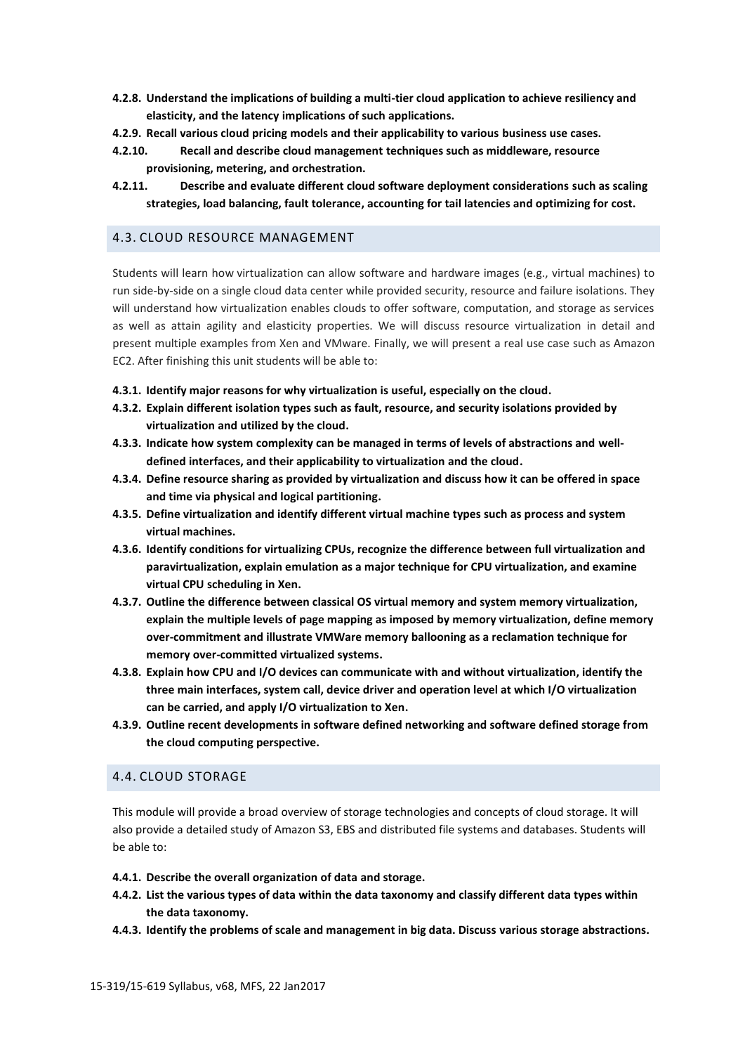- **4.2.8. Understand the implications of building a multi-tier cloud application to achieve resiliency and elasticity, and the latency implications of such applications.**
- **4.2.9. Recall various cloud pricing models and their applicability to various business use cases.**
- **4.2.10. Recall and describe cloud management techniques such as middleware, resource provisioning, metering, and orchestration.**
- **4.2.11. Describe and evaluate different cloud software deployment considerations such as scaling strategies, load balancing, fault tolerance, accounting for tail latencies and optimizing for cost.**

#### 4.3. CLOUD RESOURCE MANAGEMENT

Students will learn how virtualization can allow software and hardware images (e.g., virtual machines) to run side-by-side on a single cloud data center while provided security, resource and failure isolations. They will understand how virtualization enables clouds to offer software, computation, and storage as services as well as attain agility and elasticity properties. We will discuss resource virtualization in detail and present multiple examples from Xen and VMware. Finally, we will present a real use case such as Amazon EC2. After finishing this unit students will be able to:

- **4.3.1. Identify major reasons for why virtualization is useful, especially on the cloud.**
- **4.3.2. Explain different isolation types such as fault, resource, and security isolations provided by virtualization and utilized by the cloud.**
- **4.3.3. Indicate how system complexity can be managed in terms of levels of abstractions and welldefined interfaces, and their applicability to virtualization and the cloud.**
- **4.3.4. Define resource sharing as provided by virtualization and discuss how it can be offered in space and time via physical and logical partitioning.**
- **4.3.5. Define virtualization and identify different virtual machine types such as process and system virtual machines.**
- **4.3.6. Identify conditions for virtualizing CPUs, recognize the difference between full virtualization and paravirtualization, explain emulation as a major technique for CPU virtualization, and examine virtual CPU scheduling in Xen.**
- **4.3.7. Outline the difference between classical OS virtual memory and system memory virtualization, explain the multiple levels of page mapping as imposed by memory virtualization, define memory over-commitment and illustrate VMWare memory ballooning as a reclamation technique for memory over-committed virtualized systems.**
- **4.3.8. Explain how CPU and I/O devices can communicate with and without virtualization, identify the three main interfaces, system call, device driver and operation level at which I/O virtualization can be carried, and apply I/O virtualization to Xen.**
- **4.3.9. Outline recent developments in software defined networking and software defined storage from the cloud computing perspective.**

#### 4.4. CLOUD STORAGE

This module will provide a broad overview of storage technologies and concepts of cloud storage. It will also provide a detailed study of Amazon S3, EBS and distributed file systems and databases. Students will be able to:

- **4.4.1. Describe the overall organization of data and storage.**
- **4.4.2. List the various types of data within the data taxonomy and classify different data types within the data taxonomy.**
- **4.4.3. Identify the problems of scale and management in big data. Discuss various storage abstractions.**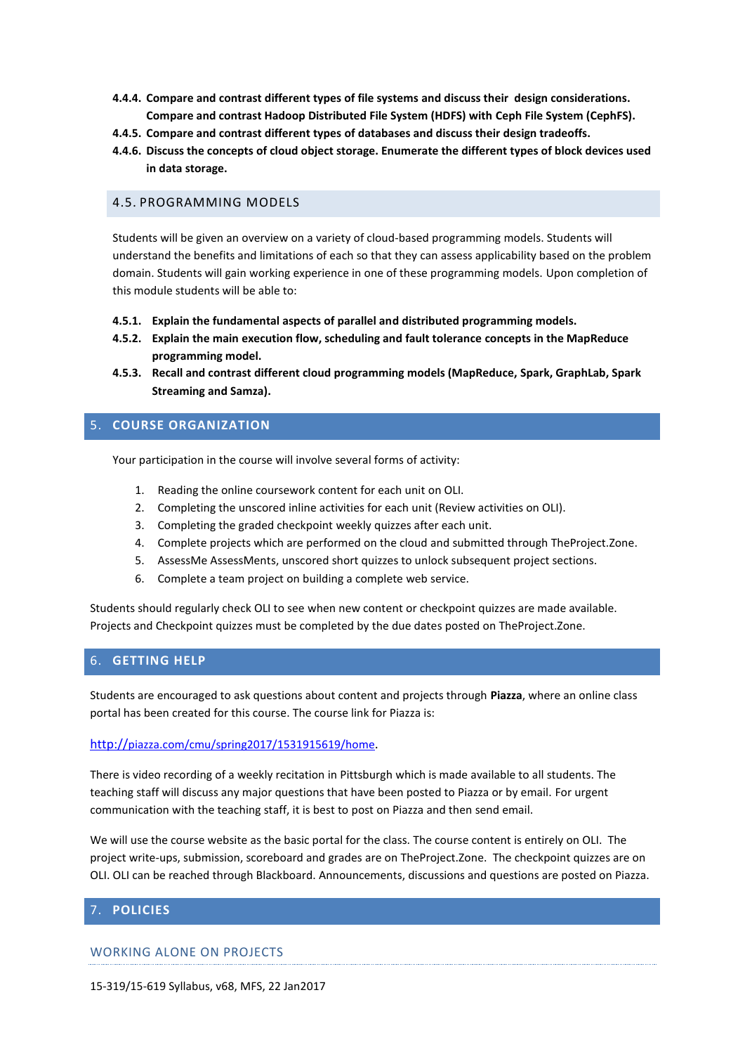- **4.4.4. Compare and contrast different types of file systems and discuss their design considerations. Compare and contrast Hadoop Distributed File System (HDFS) with Ceph File System (CephFS).**
- **4.4.5. Compare and contrast different types of databases and discuss their design tradeoffs.**
- **4.4.6. Discuss the concepts of cloud object storage. Enumerate the different types of block devices used in data storage.**

# 4.5. PROGRAMMING MODELS

Students will be given an overview on a variety of cloud-based programming models. Students will understand the benefits and limitations of each so that they can assess applicability based on the problem domain. Students will gain working experience in one of these programming models. Upon completion of this module students will be able to:

- **4.5.1. Explain the fundamental aspects of parallel and distributed programming models.**
- **4.5.2. Explain the main execution flow, scheduling and fault tolerance concepts in the MapReduce programming model.**
- **4.5.3. Recall and contrast different cloud programming models (MapReduce, Spark, GraphLab, Spark Streaming and Samza).**

# 5. **COURSE ORGANIZATION**

Your participation in the course will involve several forms of activity:

- 1. Reading the online coursework content for each unit on OLI.
- 2. Completing the unscored inline activities for each unit (Review activities on OLI).
- 3. Completing the graded checkpoint weekly quizzes after each unit.
- 4. Complete projects which are performed on the cloud and submitted through TheProject.Zone.
- 5. AssessMe AssessMents, unscored short quizzes to unlock subsequent project sections.
- 6. Complete a team project on building a complete web service.

Students should regularly check OLI to see when new content or checkpoint quizzes are made available. Projects and Checkpoint quizzes must be completed by the due dates posted on TheProject.Zone.

# 6. **GETTING HELP**

Students are encouraged to ask questions about content and projects through **Piazza**, where an online class portal has been created for this course. The course link for Piazza is:

#### http://[piazza.com/cmu/spring2017/1531915619/home](http://piazza.com/cmu/spring2017/1531915619/home).

There is video recording of a weekly recitation in Pittsburgh which is made available to all students. The teaching staff will discuss any major questions that have been posted to Piazza or by email. For urgent communication with the teaching staff, it is best to post on Piazza and then send email.

We will use the course website as the basic portal for the class. The course content is entirely on OLI. The project write-ups, submission, scoreboard and grades are on TheProject.Zone. The checkpoint quizzes are on OLI. OLI can be reached through Blackboard. Announcements, discussions and questions are posted on Piazza.

# 7. **POLICIES**

WORKING ALONE ON PROJECTS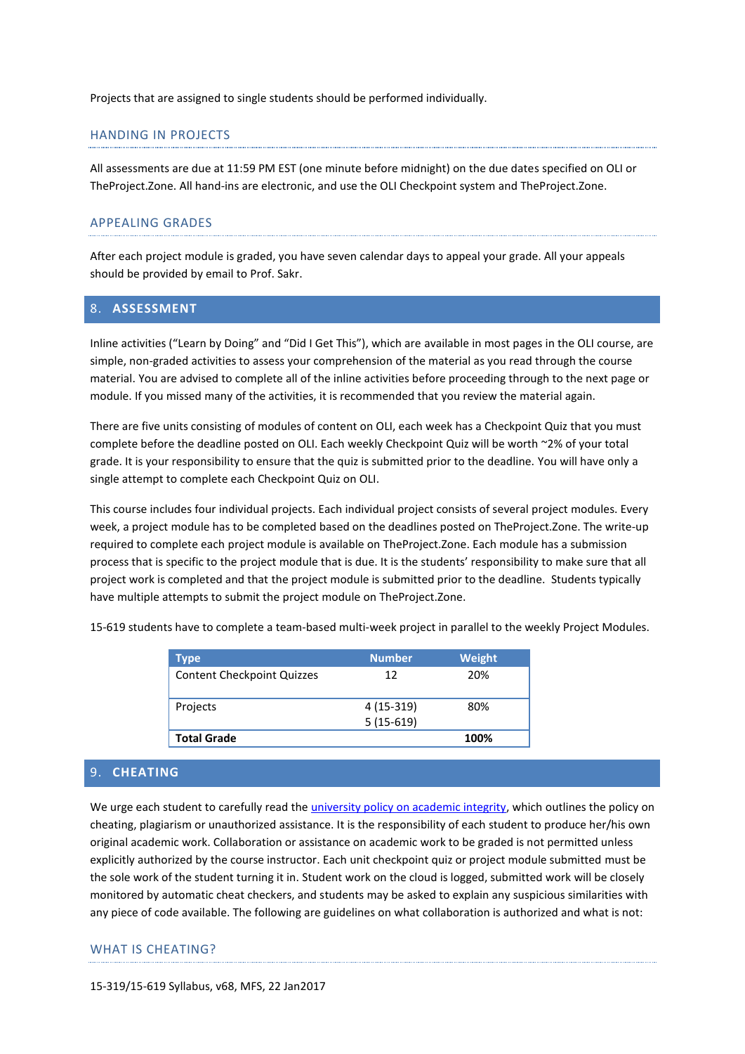Projects that are assigned to single students should be performed individually.

#### HANDING IN PROJECTS

All assessments are due at 11:59 PM EST (one minute before midnight) on the due dates specified on OLI or TheProject.Zone. All hand-ins are electronic, and use the OLI Checkpoint system and TheProject.Zone.

#### APPEALING GRADES

After each project module is graded, you have seven calendar days to appeal your grade. All your appeals should be provided by email to Prof. Sakr.

#### 8. **ASSESSMENT**

Inline activities ("Learn by Doing" and "Did I Get This"), which are available in most pages in the OLI course, are simple, non-graded activities to assess your comprehension of the material as you read through the course material. You are advised to complete all of the inline activities before proceeding through to the next page or module. If you missed many of the activities, it is recommended that you review the material again.

There are five units consisting of modules of content on OLI, each week has a Checkpoint Quiz that you must complete before the deadline posted on OLI. Each weekly Checkpoint Quiz will be worth ~2% of your total grade. It is your responsibility to ensure that the quiz is submitted prior to the deadline. You will have only a single attempt to complete each Checkpoint Quiz on OLI.

This course includes four individual projects. Each individual project consists of several project modules. Every week, a project module has to be completed based on the deadlines posted on TheProject.Zone. The write-up required to complete each project module is available on TheProject.Zone. Each module has a submission process that is specific to the project module that is due. It is the students' responsibility to make sure that all project work is completed and that the project module is submitted prior to the deadline. Students typically have multiple attempts to submit the project module on TheProject.Zone.

15-619 students have to complete a team-based multi-week project in parallel to the weekly Project Modules.

| <b>Type</b>                       | <b>Number</b> | Weight |
|-----------------------------------|---------------|--------|
| <b>Content Checkpoint Quizzes</b> | 12            | 20%    |
| Projects                          | 4 (15-319)    | 80%    |
|                                   | $5(15-619)$   |        |
| <b>Total Grade</b>                |               | 100%   |

#### 9. **CHEATING**

We urge each student to carefully read th[e university policy on academic integrity,](http://www.cmu.edu/policies/student-and-student-life/academic-integrity.html) which outlines the policy on cheating, plagiarism or unauthorized assistance. It is the responsibility of each student to produce her/his own original academic work. Collaboration or assistance on academic work to be graded is not permitted unless explicitly authorized by the course instructor. Each unit checkpoint quiz or project module submitted must be the sole work of the student turning it in. Student work on the cloud is logged, submitted work will be closely monitored by automatic cheat checkers, and students may be asked to explain any suspicious similarities with any piece of code available. The following are guidelines on what collaboration is authorized and what is not:

#### WHAT IS CHEATING?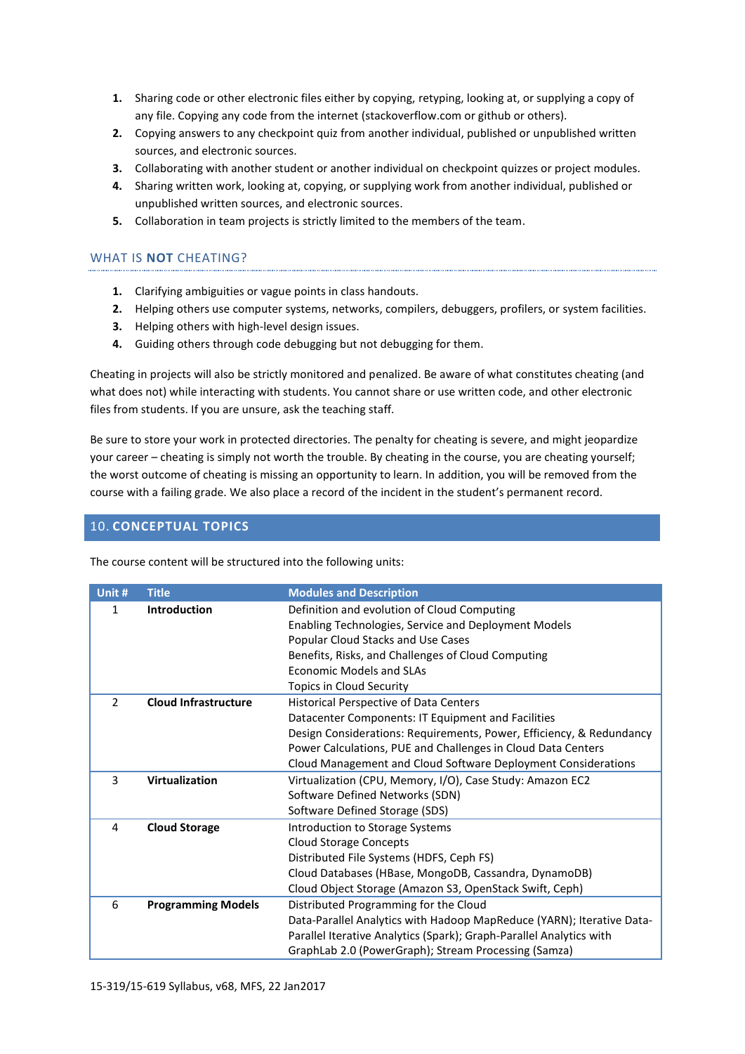- **1.** Sharing code or other electronic files either by copying, retyping, looking at, or supplying a copy of any file. Copying any code from the internet (stackoverflow.com or github or others).
- **2.** Copying answers to any checkpoint quiz from another individual, published or unpublished written sources, and electronic sources.
- **3.** Collaborating with another student or another individual on checkpoint quizzes or project modules.
- **4.** Sharing written work, looking at, copying, or supplying work from another individual, published or unpublished written sources, and electronic sources.
- **5.** Collaboration in team projects is strictly limited to the members of the team.

# WHAT IS **NOT** CHEATING?

- **1.** Clarifying ambiguities or vague points in class handouts.
- **2.** Helping others use computer systems, networks, compilers, debuggers, profilers, or system facilities.
- **3.** Helping others with high-level design issues.
- **4.** Guiding others through code debugging but not debugging for them.

Cheating in projects will also be strictly monitored and penalized. Be aware of what constitutes cheating (and what does not) while interacting with students. You cannot share or use written code, and other electronic files from students. If you are unsure, ask the teaching staff.

Be sure to store your work in protected directories. The penalty for cheating is severe, and might jeopardize your career – cheating is simply not worth the trouble. By cheating in the course, you are cheating yourself; the worst outcome of cheating is missing an opportunity to learn. In addition, you will be removed from the course with a failing grade. We also place a record of the incident in the student's permanent record.

# 10. **CONCEPTUAL TOPICS**

The course content will be structured into the following units:

| Unit # | <b>Title</b>                | <b>Modules and Description</b>                                                                                                                                                                                                                                                                               |
|--------|-----------------------------|--------------------------------------------------------------------------------------------------------------------------------------------------------------------------------------------------------------------------------------------------------------------------------------------------------------|
| 1      | <b>Introduction</b>         | Definition and evolution of Cloud Computing<br>Enabling Technologies, Service and Deployment Models<br>Popular Cloud Stacks and Use Cases<br>Benefits, Risks, and Challenges of Cloud Computing<br><b>Economic Models and SLAs</b><br>Topics in Cloud Security                                               |
| 2      | <b>Cloud Infrastructure</b> | <b>Historical Perspective of Data Centers</b><br>Datacenter Components: IT Equipment and Facilities<br>Design Considerations: Requirements, Power, Efficiency, & Redundancy<br>Power Calculations, PUE and Challenges in Cloud Data Centers<br>Cloud Management and Cloud Software Deployment Considerations |
| 3      | Virtualization              | Virtualization (CPU, Memory, I/O), Case Study: Amazon EC2<br>Software Defined Networks (SDN)<br>Software Defined Storage (SDS)                                                                                                                                                                               |
| 4      | <b>Cloud Storage</b>        | Introduction to Storage Systems<br><b>Cloud Storage Concepts</b><br>Distributed File Systems (HDFS, Ceph FS)<br>Cloud Databases (HBase, MongoDB, Cassandra, DynamoDB)<br>Cloud Object Storage (Amazon S3, OpenStack Swift, Ceph)                                                                             |
| 6      | <b>Programming Models</b>   | Distributed Programming for the Cloud<br>Data-Parallel Analytics with Hadoop MapReduce (YARN); Iterative Data-<br>Parallel Iterative Analytics (Spark); Graph-Parallel Analytics with<br>GraphLab 2.0 (PowerGraph); Stream Processing (Samza)                                                                |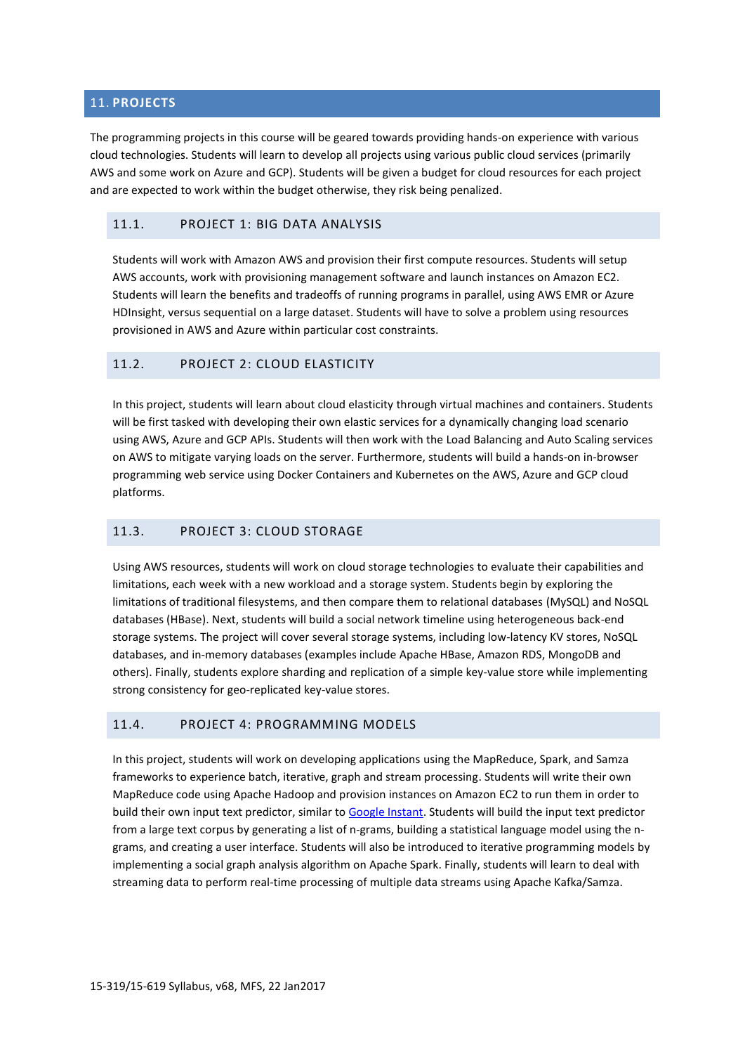# 11. **PROJECTS**

The programming projects in this course will be geared towards providing hands-on experience with various cloud technologies. Students will learn to develop all projects using various public cloud services (primarily AWS and some work on Azure and GCP). Students will be given a budget for cloud resources for each project and are expected to work within the budget otherwise, they risk being penalized.

#### 11.1. PROJECT 1: BIG DATA ANALYSIS

Students will work with Amazon AWS and provision their first compute resources. Students will setup AWS accounts, work with provisioning management software and launch instances on Amazon EC2. Students will learn the benefits and tradeoffs of running programs in parallel, using AWS EMR or Azure HDInsight, versus sequential on a large dataset. Students will have to solve a problem using resources provisioned in AWS and Azure within particular cost constraints.

# 11.2. PROJECT 2: CLOUD ELASTICITY

In this project, students will learn about cloud elasticity through virtual machines and containers. Students will be first tasked with developing their own elastic services for a dynamically changing load scenario using AWS, Azure and GCP APIs. Students will then work with the Load Balancing and Auto Scaling services on AWS to mitigate varying loads on the server. Furthermore, students will build a hands-on in-browser programming web service using Docker Containers and Kubernetes on the AWS, Azure and GCP cloud platforms.

# 11.3. PROJECT 3: CLOUD STORAGE

Using AWS resources, students will work on cloud storage technologies to evaluate their capabilities and limitations, each week with a new workload and a storage system. Students begin by exploring the limitations of traditional filesystems, and then compare them to relational databases (MySQL) and NoSQL databases (HBase). Next, students will build a social network timeline using heterogeneous back-end storage systems. The project will cover several storage systems, including low-latency KV stores, NoSQL databases, and in-memory databases (examples include Apache HBase, Amazon RDS, MongoDB and others). Finally, students explore sharding and replication of a simple key-value store while implementing strong consistency for geo-replicated key-value stores.

# 11.4. PROJECT 4: PROGRAMMING MODELS

In this project, students will work on developing applications using the MapReduce, Spark, and Samza frameworks to experience batch, iterative, graph and stream processing. Students will write their own MapReduce code using Apache Hadoop and provision instances on Amazon EC2 to run them in order to build their own input text predictor, similar t[o Google Instant.](http://www.google.com/insidesearch/features/instant/) Students will build the input text predictor from a large text corpus by generating a list of n-grams, building a statistical language model using the ngrams, and creating a user interface. Students will also be introduced to iterative programming models by implementing a social graph analysis algorithm on Apache Spark. Finally, students will learn to deal with streaming data to perform real-time processing of multiple data streams using Apache Kafka/Samza.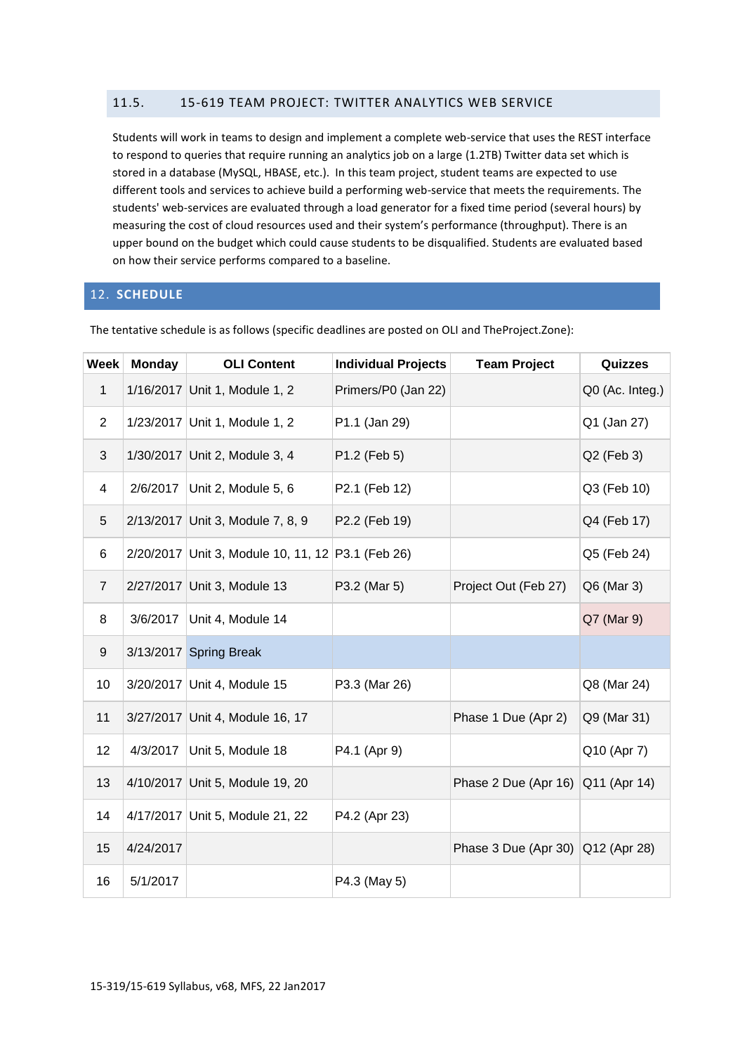# 11.5. 15-619 TEAM PROJECT: TWITTER ANALYTICS WEB SERVICE

Students will work in teams to design and implement a complete web-service that uses the REST interface to respond to queries that require running an analytics job on a large (1.2TB) Twitter data set which is stored in a database (MySQL, HBASE, etc.). In this team project, student teams are expected to use different tools and services to achieve build a performing web-service that meets the requirements. The students' web-services are evaluated through a load generator for a fixed time period (several hours) by measuring the cost of cloud resources used and their system's performance (throughput). There is an upper bound on the budget which could cause students to be disqualified. Students are evaluated based on how their service performs compared to a baseline.

# 12. **SCHEDULE**

| <b>Week</b>    | <b>Monday</b> | <b>OLI Content</b>                                | <b>Individual Projects</b> | <b>Team Project</b>               | Quizzes         |
|----------------|---------------|---------------------------------------------------|----------------------------|-----------------------------------|-----------------|
| $\mathbf{1}$   |               | 1/16/2017 Unit 1, Module 1, 2                     | Primers/P0 (Jan 22)        |                                   | Q0 (Ac. Integ.) |
| $\overline{2}$ |               | 1/23/2017 Unit 1, Module 1, 2                     | P1.1 (Jan 29)              |                                   | Q1 (Jan 27)     |
| 3              |               | 1/30/2017 Unit 2, Module 3, 4                     | P1.2 (Feb 5)               |                                   | Q2 (Feb 3)      |
| 4              |               | 2/6/2017   Unit 2, Module 5, 6                    | P2.1 (Feb 12)              |                                   | Q3 (Feb 10)     |
| 5              |               | 2/13/2017 Unit 3, Module 7, 8, 9                  | P2.2 (Feb 19)              |                                   | Q4 (Feb 17)     |
| 6              |               | 2/20/2017 Unit 3, Module 10, 11, 12 P3.1 (Feb 26) |                            |                                   | Q5 (Feb 24)     |
| $\overline{7}$ |               | 2/27/2017 Unit 3, Module 13                       | P3.2 (Mar 5)               | Project Out (Feb 27)              | Q6 (Mar 3)      |
| 8              | 3/6/2017      | Unit 4, Module 14                                 |                            |                                   | Q7 (Mar 9)      |
| 9              |               | 3/13/2017 Spring Break                            |                            |                                   |                 |
| 10             |               | 3/20/2017 Unit 4, Module 15                       | P3.3 (Mar 26)              |                                   | Q8 (Mar 24)     |
| 11             |               | 3/27/2017 Unit 4, Module 16, 17                   |                            | Phase 1 Due (Apr 2)               | Q9 (Mar 31)     |
| 12             | 4/3/2017      | Unit 5, Module 18                                 | P4.1 (Apr 9)               |                                   | Q10 (Apr 7)     |
| 13             |               | 4/10/2017 Unit 5, Module 19, 20                   |                            | Phase 2 Due (Apr 16)              | Q11 (Apr 14)    |
| 14             |               | 4/17/2017 Unit 5, Module 21, 22                   | P4.2 (Apr 23)              |                                   |                 |
| 15             | 4/24/2017     |                                                   |                            | Phase 3 Due (Apr 30) Q12 (Apr 28) |                 |
| 16             | 5/1/2017      |                                                   | P4.3 (May 5)               |                                   |                 |

The tentative schedule is as follows (specific deadlines are posted on OLI and TheProject.Zone):